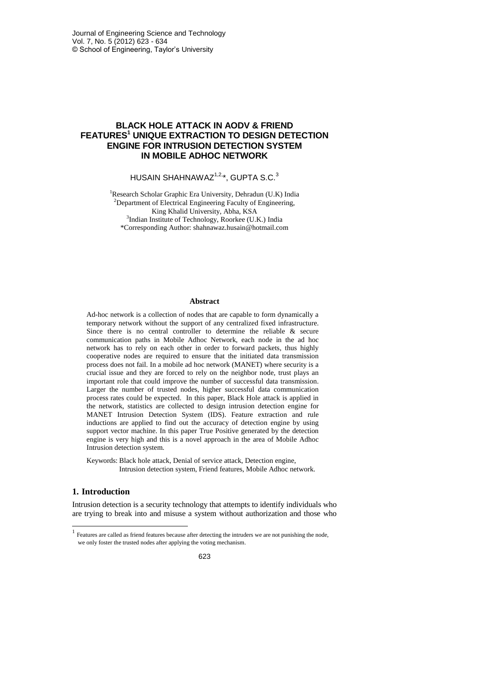# **BLACK HOLE ATTACK IN AODV & FRIEND FEATURES<sup>1</sup> UNIQUE EXTRACTION TO DESIGN DETECTION ENGINE FOR INTRUSION DETECTION SYSTEM IN MOBILE ADHOC NETWORK**

HUSAIN SHAHNAWAZ<sup>1,2,\*</sup>, GUPTA S.C.<sup>3</sup>

<sup>1</sup>Research Scholar Graphic Era University, Dehradun (U.K) India <sup>2</sup>Department of Electrical Engineering Faculty of Engineering, King Khalid University, Abha, KSA <sup>3</sup>Indian Institute of Technology, Roorkee (U.K.) India \*Corresponding Author[: shahnawaz.husain@hotmail.com](mailto:shahnawaz.husain@hotmail.com)

#### **Abstract**

Ad-hoc network is a collection of nodes that are capable to form dynamically a temporary network without the support of any centralized fixed infrastructure. Since there is no central controller to determine the reliable & secure communication paths in Mobile Adhoc Network, each node in the ad hoc network has to rely on each other in order to forward packets, thus highly cooperative nodes are required to ensure that the initiated data transmission process does not fail. In a mobile ad hoc network (MANET) where security is a crucial issue and they are forced to rely on the neighbor node, trust plays an important role that could improve the number of successful data transmission. Larger the number of trusted nodes, higher successful data communication process rates could be expected. In this paper, Black Hole attack is applied in the network, statistics are collected to design intrusion detection engine for MANET Intrusion Detection System (IDS). Feature extraction and rule inductions are applied to find out the accuracy of detection engine by using support vector machine. In this paper True Positive generated by the detection engine is very high and this is a novel approach in the area of Mobile Adhoc Intrusion detection system.

Keywords: Black hole attack, Denial of service attack, Detection engine, Intrusion detection system, Friend features, Mobile Adhoc network.

# **1. Introduction**

-

Intrusion detection is a security technology that attempts to identify individuals who are trying to break into and misuse a system without authorization and those who

<sup>&</sup>lt;sup>1</sup> Features are called as friend features because after detecting the intruders we are not punishing the node, we only foster the trusted nodes after applying the voting mechanism.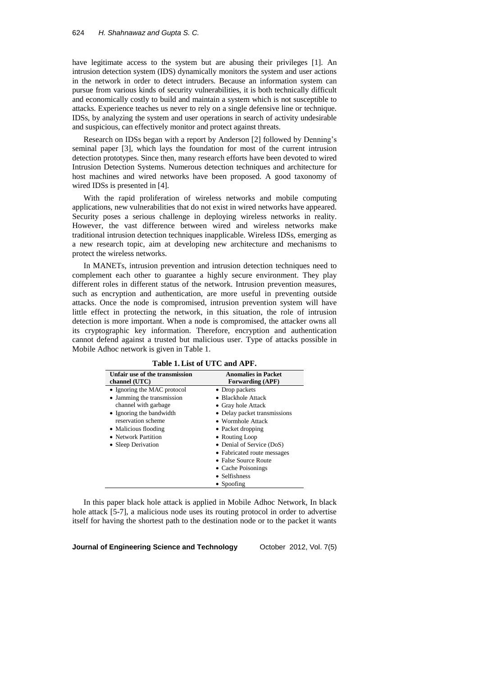have legitimate access to the system but are abusing their privileges [1]. An intrusion detection system (IDS) dynamically monitors the system and user actions in the network in order to detect intruders. Because an information system can pursue from various kinds of security vulnerabilities, it is both technically difficult and economically costly to build and maintain a system which is not susceptible to attacks. Experience teaches us never to rely on a single defensive line or technique. IDSs, by analyzing the system and user operations in search of activity undesirable and suspicious, can effectively monitor and protect against threats.

Research on IDSs began with a report by Anderson [2] followed by Denning's seminal paper [3], which lays the foundation for most of the current intrusion detection prototypes. Since then, many research efforts have been devoted to wired Intrusion Detection Systems. Numerous detection techniques and architecture for host machines and wired networks have been proposed. A good taxonomy of wired IDSs is presented in [4].

With the rapid proliferation of wireless networks and mobile computing applications, new vulnerabilities that do not exist in wired networks have appeared. Security poses a serious challenge in deploying wireless networks in reality. However, the vast difference between wired and wireless networks make traditional intrusion detection techniques inapplicable. Wireless IDSs, emerging as a new research topic, aim at developing new architecture and mechanisms to protect the wireless networks.

In MANETs, intrusion prevention and intrusion detection techniques need to complement each other to guarantee a highly secure environment. They play different roles in different status of the network. Intrusion prevention measures, such as encryption and authentication, are more useful in preventing outside attacks. Once the node is compromised, intrusion prevention system will have little effect in protecting the network, in this situation, the role of intrusion detection is more important. When a node is compromised, the attacker owns all its cryptographic key information. Therefore, encryption and authentication cannot defend against a trusted but malicious user. Type of attacks possible in Mobile Adhoc network is given in Table 1.

| Unfair use of the transmission<br>channel (UTC) | <b>Anomalies in Packet</b><br><b>Forwarding (APF)</b> |
|-------------------------------------------------|-------------------------------------------------------|
| • Ignoring the MAC protocol                     | • Drop packets                                        |
| • Jamming the transmission                      | • Blackhole Attack                                    |
| channel with garbage                            | • Gray hole Attack                                    |
| • Ignoring the bandwidth                        | • Delay packet transmissions                          |
| reservation scheme                              | $\bullet$ Wormhole Attack                             |
| • Malicious flooding                            | • Packet dropping                                     |
| • Network Partition                             | • Routing Loop                                        |
| • Sleep Derivation                              | • Denial of Service (DoS)                             |
|                                                 | • Fabricated route messages                           |
|                                                 | • False Source Route                                  |
|                                                 | • Cache Poisonings                                    |
|                                                 | • Selfishness                                         |
|                                                 | $\bullet$ Spoofing                                    |

**Table 1.List of UTC and APF.**

In this paper black hole attack is applied in Mobile Adhoc Network, In black hole attack [5-7], a malicious node uses its routing protocol in order to advertise itself for having the shortest path to the destination node or to the packet it wants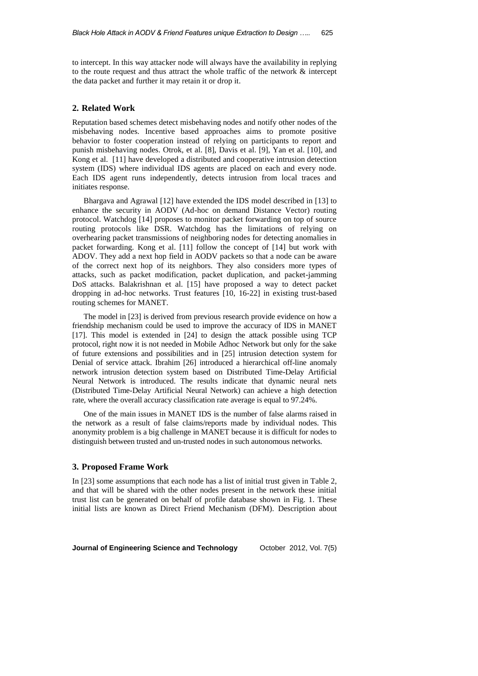to intercept. In this way attacker node will always have the availability in replying to the route request and thus attract the whole traffic of the network  $\&$  intercept the data packet and further it may retain it or drop it.

### **2. Related Work**

Reputation based schemes detect misbehaving nodes and notify other nodes of the misbehaving nodes. Incentive based approaches aims to promote positive behavior to foster cooperation instead of relying on participants to report and punish misbehaving nodes. Otrok, et al. [8], Davis et al. [9], Yan et al. [10], and Kong et al. [11] have developed a distributed and cooperative intrusion detection system (IDS) where individual IDS agents are placed on each and every node. Each IDS agent runs independently, detects intrusion from local traces and initiates response.

Bhargava and Agrawal [12] have extended the IDS model described in [13] to enhance the security in AODV (Ad-hoc on demand Distance Vector) routing protocol. Watchdog [14] proposes to monitor packet forwarding on top of source routing protocols like DSR. Watchdog has the limitations of relying on overhearing packet transmissions of neighboring nodes for detecting anomalies in packet forwarding. Kong et al. [11] follow the concept of [14] but work with ADOV. They add a next hop field in AODV packets so that a node can be aware of the correct next hop of its neighbors. They also considers more types of attacks, such as packet modification, packet duplication, and packet-jamming DoS attacks. Balakrishnan et al. [15] have proposed a way to detect packet dropping in ad-hoc networks. Trust features [10, 16-22] in existing trust-based routing schemes for MANET.

The model in [23] is derived from previous research provide evidence on how a friendship mechanism could be used to improve the accuracy of IDS in MANET [17]. This model is extended in [24] to design the attack possible using TCP protocol, right now it is not needed in Mobile Adhoc Network but only for the sake of future extensions and possibilities and in [25] intrusion detection system for Denial of service attack. Ibrahim [26] introduced a hierarchical off-line anomaly network intrusion detection system based on Distributed Time-Delay Artificial Neural Network is introduced. The results indicate that dynamic neural nets (Distributed Time-Delay Artificial Neural Network) can achieve a high detection rate, where the overall accuracy classification rate average is equal to 97.24%.

One of the main issues in MANET IDS is the number of false alarms raised in the network as a result of false claims/reports made by individual nodes. This anonymity problem is a big challenge in MANET because it is difficult for nodes to distinguish between trusted and un-trusted nodes in such autonomous networks.

# **3. Proposed Frame Work**

In [23] some assumptions that each node has a list of initial trust given in Table 2, and that will be shared with the other nodes present in the network these initial trust list can be generated on behalf of profile database shown in Fig. 1. These initial lists are known as Direct Friend Mechanism (DFM). Description about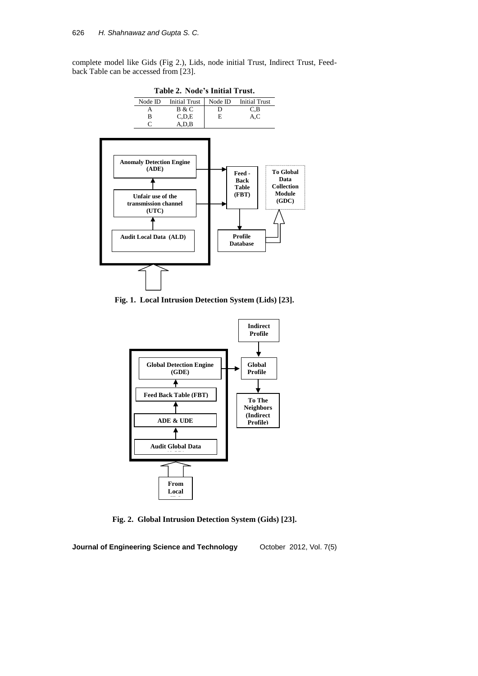complete model like Gids (Fig 2.), Lids, node initial Trust, Indirect Trust, Feedback Table can be accessed from [23].



**Fig. 1. Local Intrusion Detection System (Lids) [23].**



**Fig. 2. Global Intrusion Detection System (Gids) [23].**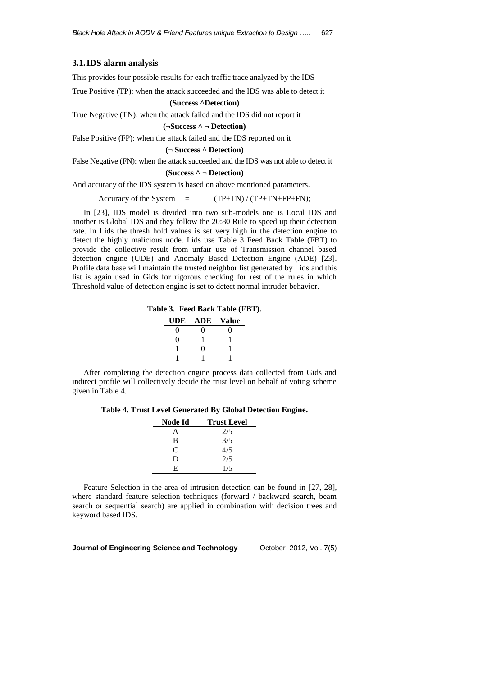### **3.1.IDS alarm analysis**

This provides four possible results for each traffic trace analyzed by the IDS

True Positive (TP): when the attack succeeded and the IDS was able to detect it

#### **(Success ^Detection)**

True Negative (TN): when the attack failed and the IDS did not report it

## **(¬Success ^ ¬ Detection)**

False Positive (FP): when the attack failed and the IDS reported on it

**(¬ Success ^ Detection)**

False Negative (FN): when the attack succeeded and the IDS was not able to detect it

#### **(Success ^ ¬ Detection)**

And accuracy of the IDS system is based on above mentioned parameters.

Accuracy of the System  $=$   $(TP+TN) / (TP+TN+FP+FN);$ 

In [23], IDS model is divided into two sub-models one is Local IDS and another is Global IDS and they follow the 20:80 Rule to speed up their detection rate. In Lids the thresh hold values is set very high in the detection engine to detect the highly malicious node. Lids use Table 3 Feed Back Table (FBT) to provide the collective result from unfair use of Transmission channel based detection engine (UDE) and Anomaly Based Detection Engine (ADE) [23]. Profile data base will maintain the trusted neighbor list generated by Lids and this list is again used in Gids for rigorous checking for rest of the rules in which Threshold value of detection engine is set to detect normal intruder behavior.

**Table 3. Feed Back Table (FBT).**

| UDE | <b>ADE</b> | Value |
|-----|------------|-------|
|     | 0          |       |
| 0   |            |       |
|     | $\Omega$   |       |
|     |            |       |

After completing the detection engine process data collected from Gids and indirect profile will collectively decide the trust level on behalf of voting scheme given in Table 4.

**Table 4. Trust Level Generated By Global Detection Engine.**

| Node Id | <b>Trust Level</b> |
|---------|--------------------|
| А       | 2/5                |
| B       | 3/5                |
| C       | 4/5                |
| D       | 2/5                |
| E       | 1/5                |

Feature Selection in the area of intrusion detection can be found in [27, 28], where standard feature selection techniques (forward / backward search, beam search or sequential search) are applied in combination with decision trees and keyword based IDS.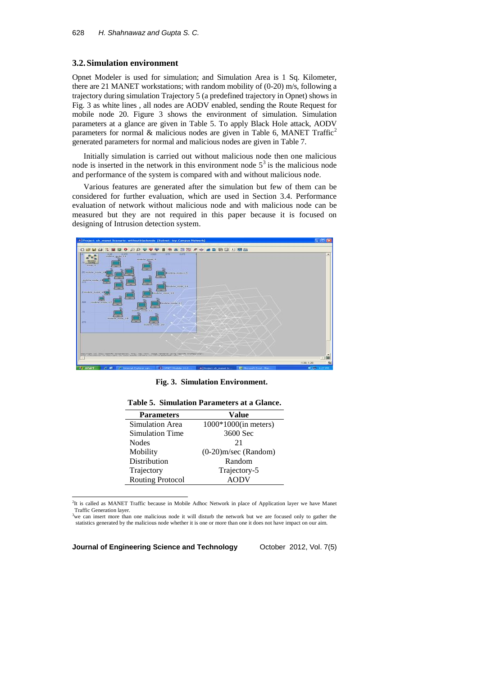#### **3.2.Simulation environment**

Opnet Modeler is used for simulation; and Simulation Area is 1 Sq. Kilometer, there are 21 MANET workstations; with random mobility of (0-20) m/s, following a trajectory during simulation Trajectory 5 (a predefined trajectory in Opnet) shows in Fig. 3 as white lines , all nodes are AODV enabled, sending the Route Request for mobile node 20. Figure 3 shows the environment of simulation. Simulation parameters at a glance are given in Table 5. To apply Black Hole attack, AODV parameters for normal & malicious nodes are given in Table 6, MANET Traffic<sup>2</sup> generated parameters for normal and malicious nodes are given in Table 7.

Initially simulation is carried out without malicious node then one malicious node is inserted in the network in this environment node  $5<sup>3</sup>$  is the malicious node and performance of the system is compared with and without malicious node.

Various features are generated after the simulation but few of them can be considered for further evaluation, which are used in Section 3.4. Performance evaluation of network without malicious node and with malicious node can be measured but they are not required in this paper because it is focused on designing of Intrusion detection system.



**Fig. 3. Simulation Environment.**

| <b>Parameters</b>       | Value                   |
|-------------------------|-------------------------|
| Simulation Area         | $1000*1000$ (in meters) |
| <b>Simulation Time</b>  | 3600 Sec                |
| <b>Nodes</b>            | 21                      |
| Mobility                | $(0-20)$ m/sec (Random) |
| Distribution            | Random                  |
| Trajectory              | Trajectory-5            |
| <b>Routing Protocol</b> |                         |

**Table 5. Simulation Parameters at a Glance.**

<sup>2</sup>It is called as MANET Traffic because in Mobile Adhoc Network in place of Application layer we have Manet Traffic Generation layer.

<sup>3</sup>we can insert more than one malicious node it will disturb the network but we are focused only to gather the statistics generated by the malicious node whether it is one or more than one it does not have impact on our aim.

**Journal of Engineering Science and Technology** October 2012, Vol. 7(5)

1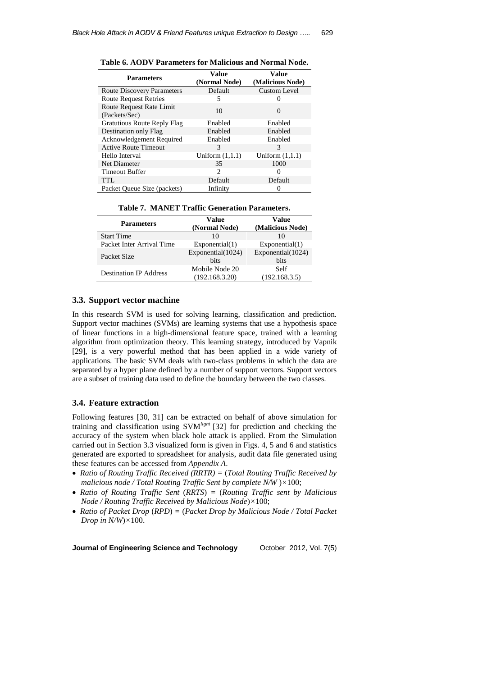| <b>Parameters</b>                         | Value             | Value             |  |
|-------------------------------------------|-------------------|-------------------|--|
|                                           | (Normal Node)     | (Malicious Node)  |  |
| <b>Route Discovery Parameters</b>         | Default           | Custom Level      |  |
| <b>Route Request Retries</b>              | 5                 |                   |  |
| Route Request Rate Limit<br>(Packets/Sec) | 10                | $\Omega$          |  |
| <b>Gratutious Route Reply Flag</b>        | Enabled           | Enabled           |  |
| Destination only Flag                     | Enabled           | Enabled           |  |
| Acknowledgement Required                  | Enabled           | Enabled           |  |
| <b>Active Route Timeout</b>               | 3                 | 3                 |  |
| Hello Interval                            | Uniform $(1,1.1)$ | Uniform $(1,1.1)$ |  |
| Net Diameter                              | 35                | 1000              |  |
| Timeout Buffer                            | 2                 | 0                 |  |
| <b>TTL</b>                                | Default           | Default           |  |
| Packet Queue Size (packets)               | Infinity          | 0                 |  |

**Table 6. AODV Parameters for Malicious and Normal Node.**

| <b>Start Time</b>                             |                   |                   |
|-----------------------------------------------|-------------------|-------------------|
|                                               | (Normal Node)     | (Malicious Node)  |
| <b>Parameters</b>                             | Value             | Value             |
| Table 7. MANET Traffic Generation Parameters. |                   |                   |
|                                               |                   |                   |
| Packet Oueue Size (packets)                   | Infinity          | $^{(1)}$          |
| <b>TTL</b>                                    | Default           | Default           |
| <b>Timeout Buffer</b>                         | 2                 | $\Omega$          |
| Net Diameter                                  | 35                | 1000              |
| Helio Interval                                | Uniform $(1,1.1)$ | Uniform $(1,1,1)$ |

| <b>Parameters</b>             | v ange<br>(Normal Node)          | v anie<br>(Malicious Node) |
|-------------------------------|----------------------------------|----------------------------|
| <b>Start Time</b>             | 10                               | 10                         |
| Packet Inter Arrival Time     | Exponential(1)                   | Exponential(1)             |
| Packet Size                   | Exponential(1024)<br><b>bits</b> | Exponential(1024)<br>bits  |
| <b>Destination IP Address</b> | Mobile Node 20<br>(192.168.3.20) | Self<br>(192.168.3.5)      |

# **3.3. Support vector machine**

In this research SVM is used for solving learning, classification and prediction. Support vector machines (SVMs) are learning systems that use a hypothesis space of linear functions in a high-dimensional feature space, trained with a learning algorithm from optimization theory. This learning strategy, introduced by Vapnik [29], is a very powerful method that has been applied in a wide variety of applications. The basic SVM deals with two-class problems in which the data are separated by a hyper plane defined by a number of support vectors. Support vectors are a subset of training data used to define the boundary between the two classes.

### **3.4. Feature extraction**

Following features [30, 31] can be extracted on behalf of above simulation for training and classification using SVM*light* [32] for prediction and checking the accuracy of the system when black hole attack is applied. From the Simulation carried out in Section 3.3 visualized form is given in Figs. 4, 5 and 6 and statistics generated are exported to spreadsheet for analysis, audit data file generated using these features can be accessed from *Appendix A*.

- *Ratio of Routing Traffic Received (RRTR) =* (*Total Routing Traffic Received by malicious node / Total Routing Traffic Sent by complete N/W* )*×*100;
- *Ratio of Routing Traffic Sent* (*RRTS*) *=* (*Routing Traffic sent by Malicious Node / Routing Traffic Received by Malicious Node*)*×*100;
- *Ratio of Packet Drop* (*RPD*) *=* (*Packet Drop by Malicious Node / Total Packet Drop in N/W*)*×*100.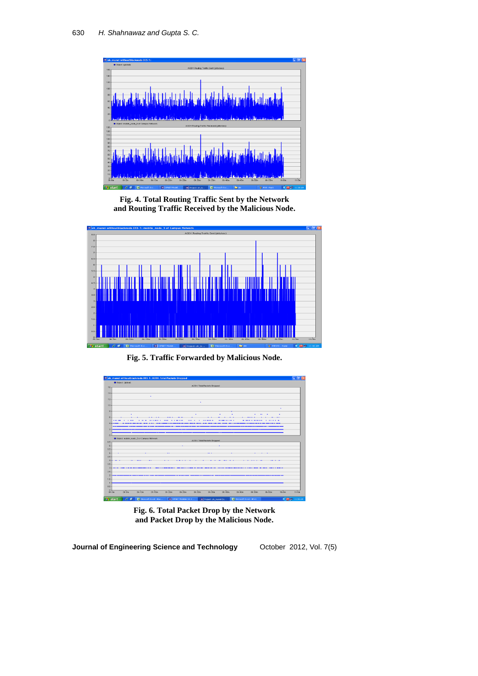

**Fig. 4. Total Routing Traffic Sent by the Network and Routing Traffic Received by the Malicious Node.**



**Fig. 5. Traffic Forwarded by Malicious Node.**



**Fig. 6. Total Packet Drop by the Network and Packet Drop by the Malicious Node.**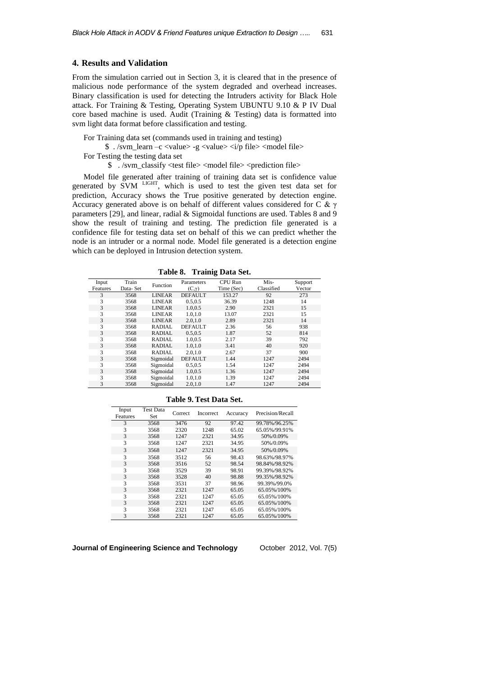#### **4. Results and Validation**

From the simulation carried out in Section 3, it is cleared that in the presence of malicious node performance of the system degraded and overhead increases. Binary classification is used for detecting the Intruders activity for Black Hole attack. For Training & Testing, Operating System UBUNTU 9.10 & P IV Dual core based machine is used. Audit (Training & Testing) data is formatted into svm light data format before classification and testing.

For Training data set (commands used in training and testing)

 $\frac{1}{2}$ ./svm\_learn –c <value> -g <value> <i/p file> <model file>

For Testing the testing data set

\$ ./svm\_classify <test file> <model file> <prediction file>

Model file generated after training of training data set is confidence value generated by SVM LIGHT, which is used to test the given test data set for prediction, Accuracy shows the True positive generated by detection engine. Accuracy generated above is on behalf of different values considered for C & γ parameters [29], and linear, radial & Sigmoidal functions are used. Tables 8 and 9 show the result of training and testing. The prediction file generated is a confidence file for testing data set on behalf of this we can predict whether the node is an intruder or a normal node. Model file generated is a detection engine which can be deployed in Intrusion detection system.

**Table 8. Trainig Data Set.**

| Input    | Train    | Function      | Parameters     | CPU Run    | Mis-       | Support |
|----------|----------|---------------|----------------|------------|------------|---------|
| Features | Data-Set |               | $(C,\gamma)$   | Time (Sec) | Classified | Vector  |
| 3        | 3568     | <b>LINEAR</b> | <b>DEFAULT</b> | 153.27     | 92         | 273     |
| 3        | 3568     | <b>LINEAR</b> | 0.5.0.5        | 36.39      | 1248       | 14      |
| 3        | 3568     | <b>LINEAR</b> | 1.0,0.5        | 2.90       | 2321       | 15      |
| 3        | 3568     | <b>LINEAR</b> | 1.0,1.0        | 13.07      | 2321       | 15      |
| 3        | 3568     | <b>LINEAR</b> | 2.0.1.0        | 2.89       | 2321       | 14      |
| 3        | 3568     | RADIAL        | <b>DEFAULT</b> | 2.36       | 56         | 938     |
| 3        | 3568     | RADIAL        | 0.5.0.5        | 1.87       | 52         | 814     |
| 3        | 3568     | <b>RADIAL</b> | 1.0.0.5        | 2.17       | 39         | 792     |
| 3        | 3568     | RADIAL        | 1.0, 1.0       | 3.41       | 40         | 920     |
| 3        | 3568     | RADIAL        | 2.0.1.0        | 2.67       | 37         | 900     |
| 3        | 3568     | Sigmoidal     | <b>DEFAULT</b> | 1.44       | 1247       | 2494    |
| 3        | 3568     | Sigmoidal     | 0.5.0.5        | 1.54       | 1247       | 2494    |
| 3        | 3568     | Sigmoidal     | 1.0.0.5        | 1.36       | 1247       | 2494    |
| 3        | 3568     | Sigmoidal     | 1.0.1.0        | 1.39       | 1247       | 2494    |
| 3        | 3568     | Sigmoidal     | 2.0, 1.0       | 1.47       | 1247       | 2494    |

| <b>Table 9. Test Data Set.</b> |  |  |  |  |
|--------------------------------|--|--|--|--|
|--------------------------------|--|--|--|--|

| Input<br>Features | <b>Test Data</b><br>Set | Correct | Incorrect | Accuracy | Precision/Recall |
|-------------------|-------------------------|---------|-----------|----------|------------------|
| 3                 | 3568                    | 3476    | 92        | 97.42    | 99.78%/96.25%    |
| 3                 | 3568                    | 2320    | 1248      | 65.02    | 65.05%/99.91%    |
| 3                 | 3568                    | 1247    | 2321      | 34.95    | 50%/0.09%        |
| 3                 | 3568                    | 1247    | 2321      | 34.95    | 50%/0.09%        |
| 3                 | 3568                    | 1247    | 2321      | 34.95    | 50%/0.09%        |
| 3                 | 3568                    | 3512    | 56        | 98.43    | 98.63%/98.97%    |
| 3                 | 3568                    | 3516    | 52        | 98.54    | 98.84%/98.92%    |
| 3                 | 3568                    | 3529    | 39        | 98.91    | 99.39%/98.92%    |
| 3                 | 3568                    | 3528    | 40        | 98.88    | 99.35%/98.92%    |
| 3                 | 3568                    | 3531    | 37        | 98.96    | 99.39%/99.0%     |
| 3                 | 3568                    | 2321    | 1247      | 65.05    | 65.05%/100%      |
| 3                 | 3568                    | 2321    | 1247      | 65.05    | 65.05%/100%      |
| 3                 | 3568                    | 2321    | 1247      | 65.05    | 65.05%/100%      |
| 3                 | 3568                    | 2321    | 1247      | 65.05    | 65.05%/100%      |
| 3                 | 3568                    | 2321    | 1247      | 65.05    | 65.05%/100%      |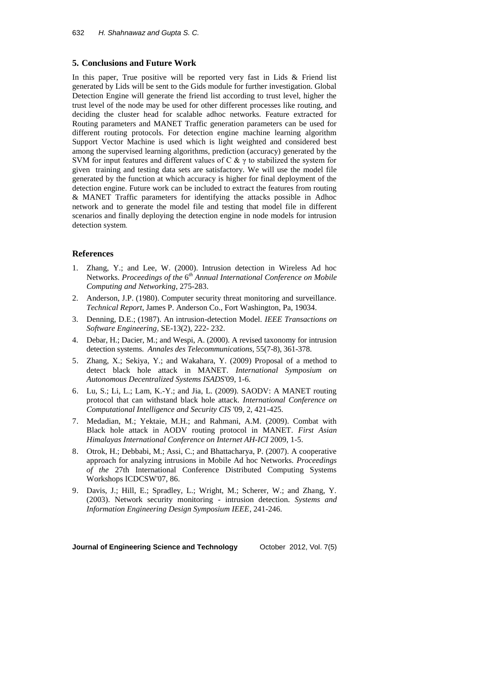## **5. Conclusions and Future Work**

In this paper, True positive will be reported very fast in Lids  $\&$  Friend list generated by Lids will be sent to the Gids module for further investigation. Global Detection Engine will generate the friend list according to trust level, higher the trust level of the node may be used for other different processes like routing, and deciding the cluster head for scalable adhoc networks. Feature extracted for Routing parameters and MANET Traffic generation parameters can be used for different routing protocols. For detection engine machine learning algorithm Support Vector Machine is used which is light weighted and considered best among the supervised learning algorithms, prediction (accuracy) generated by the SVM for input features and different values of C  $\& \gamma$  to stabilized the system for given training and testing data sets are satisfactory. We will use the model file generated by the function at which accuracy is higher for final deployment of the detection engine. Future work can be included to extract the features from routing & MANET Traffic parameters for identifying the attacks possible in Adhoc network and to generate the model file and testing that model file in different scenarios and finally deploying the detection engine in node models for intrusion detection system.

## **References**

- 1. Zhang, Y.; and Lee, W. (2000). Intrusion detection in Wireless Ad hoc Networks. *Proceedings of the* 6 *th Annual International Conference on Mobile Computing and Networking*, 275-283.
- 2. Anderson, J.P. (1980). Computer security threat monitoring and surveillance. *Technical Report*, James P. Anderson Co., Fort Washington, Pa, 19034.
- 3. Denning, D.E.; (1987). An intrusion-detection Model. *IEEE Transactions on Software Engineering*, SE-13(2), 222- 232.
- 4. Debar, H.; Dacier, M.; and Wespi, A. (2000). A revised taxonomy for intrusion detection systems. *Annales des Telecommunications,* 55(7-8), 361-378.
- 5. Zhang, X.; Sekiya, Y.; and Wakahara, Y. (2009) Proposal of a method to detect black hole attack in MANET. *International Symposium on Autonomous Decentralized Systems ISADS*'09, 1-6.
- 6. Lu, S.; Li, L.; Lam, K.-Y.; and Jia, L. (2009). SAODV: A MANET routing protocol that can withstand black hole attack. *International Conference on Computational Intelligence and Security CIS* '09, 2, 421-425.
- 7. Medadian, M.; Yektaie, M.H.; and Rahmani, A.M. (2009). Combat with Black hole attack in AODV routing protocol in MANET. *First Asian Himalayas International Conference on Internet AH-ICI* 2009, 1-5.
- 8. Otrok, H.; Debbabi, M.; Assi, C.; and Bhattacharya, P. (2007). A cooperative approach for analyzing intrusions in Mobile Ad hoc Networks. *Proceedings of the* 27th International Conference Distributed Computing Systems Workshops ICDCSW'07, 86.
- 9. Davis, J.; Hill, E.; Spradley, L.; Wright, M.; Scherer, W.; and Zhang, Y. (2003). Network security monitoring - intrusion detection. *Systems and Information Engineering Design Symposium IEEE*, 241-246.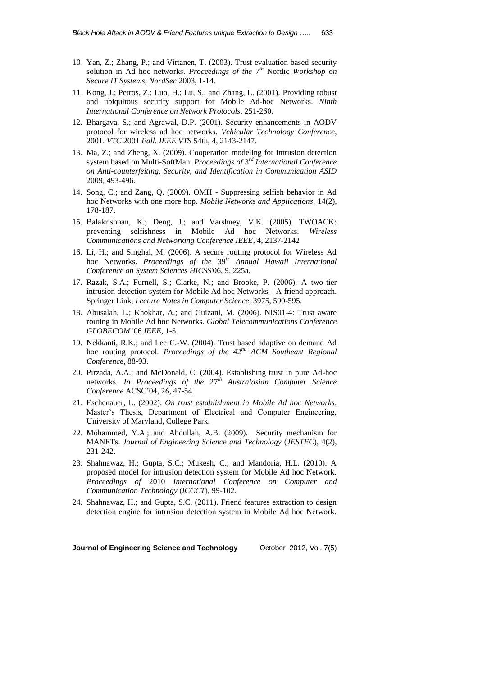- 10. Yan, Z.; Zhang, P.; and Virtanen, T. (2003). Trust evaluation based security solution in Ad hoc networks. *Proceedings of the* 7 *th* Nordic *Workshop on Secure IT Systems*, *NordSec* 2003, 1-14.
- 11. Kong, J.; Petros, Z.; Luo, H.; Lu, S.; and Zhang, L. (2001). Providing robust and ubiquitous security support for Mobile Ad-hoc Networks. *Ninth International Conference on Network Protocols*, 251-260.
- 12. Bhargava, S.; and Agrawal, D.P. (2001). Security enhancements in AODV protocol for wireless ad hoc networks. *Vehicular Technology Conference*, 2001. *VTC* 2001 *Fall*. *IEEE VTS* 54th, 4, 2143-2147.
- 13. Ma, Z.; and Zheng, X. (2009). Cooperation modeling for intrusion detection system based on Multi-SoftMan. *Proceedings of* 3 *rd International Conference on Anti-counterfeiting, Security, and Identification in Communication ASID*  2009, 493-496.
- 14. Song, C.; and Zang, Q. (2009). OMH Suppressing selfish behavior in Ad hoc Networks with one more hop. *Mobile Networks and Applications*, 14(2), 178-187.
- 15. Balakrishnan, K.; Deng, J.; and Varshney, V.K. (2005). TWOACK: preventing selfishness in Mobile Ad hoc Networks. *Wireless Communications and Networking Conference IEEE*, 4, 2137-2142
- 16. Li, H.; and Singhal, M. (2006). A secure routing protocol for Wireless Ad hoc Networks. *Proceedings of the* 39*th Annual Hawaii International Conference on System Sciences HICSS*'06, 9, 225a.
- 17. Razak, S.A.; Furnell, S.; Clarke, N.; and Brooke, P. (2006). A two-tier intrusion detection system for Mobile Ad hoc Networks - A friend approach. Springer Link, *Lecture Notes in Computer Science*, 3975, 590-595.
- 18. Abusalah, L.; Khokhar, A.; and Guizani, M. (2006). NIS01-4: Trust aware routing in Mobile Ad hoc Networks. *Global Telecommunications Conference GLOBECOM* '06 *IEEE*, 1-5.
- 19. Nekkanti, R.K.; and Lee C.-W. (2004). Trust based adaptive on demand Ad hoc routing protocol. *Proceedings of the* 42*nd ACM Southeast Regional Conference*, 88-93.
- 20. Pirzada, A.A.; and McDonald, C. (2004). Establishing trust in pure Ad-hoc networks. *In Proceedings of the* 27*th Australasian Computer Science Conference* ACSC'04, 26, 47-54.
- 21. Eschenauer, L. (2002). *On trust establishment in Mobile Ad hoc Networks*. Master's Thesis, Department of Electrical and Computer Engineering, University of Maryland, College Park.
- 22. Mohammed, Y.A.; and Abdullah, A.B. (2009). Security mechanism for MANETs. *Journal of Engineering Science and Technology* (*JESTEC*), 4(2), 231-242.
- 23. Shahnawaz, H.; Gupta, S.C.; Mukesh, C.; and Mandoria, H.L. (2010). A proposed model for intrusion detection system for Mobile Ad hoc Network. *Proceedings of* 2010 *International Conference on Computer and Communication Technology* (*ICCCT*), 99-102.
- 24. Shahnawaz, H.; and Gupta, S.C. (2011). Friend features extraction to design detection engine for intrusion detection system in Mobile Ad hoc Network.